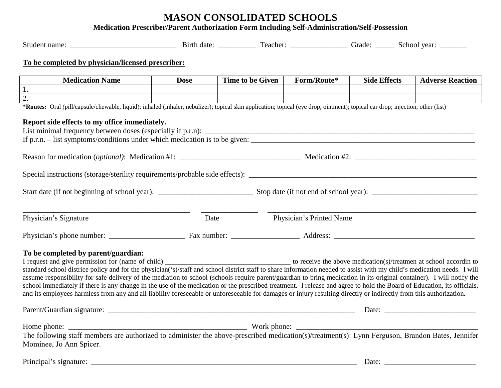## **MASON CONSOLIDATED SCHOOLS**

**Medication Prescriber/Parent Authorization Form Including Self-Administration/Self-Possession**

|                                                                                                                                                                                                                                                                                                                                              | To be completed by physician/licensed prescriber:                                                                                                                              |             |                         |                                                          |                     |                         |  |
|----------------------------------------------------------------------------------------------------------------------------------------------------------------------------------------------------------------------------------------------------------------------------------------------------------------------------------------------|--------------------------------------------------------------------------------------------------------------------------------------------------------------------------------|-------------|-------------------------|----------------------------------------------------------|---------------------|-------------------------|--|
|                                                                                                                                                                                                                                                                                                                                              |                                                                                                                                                                                |             |                         |                                                          |                     |                         |  |
| 1.                                                                                                                                                                                                                                                                                                                                           | <b>Medication Name</b>                                                                                                                                                         | <b>Dose</b> | <b>Time to be Given</b> | Form/Route*                                              | <b>Side Effects</b> | <b>Adverse Reaction</b> |  |
| $\overline{2}$ .                                                                                                                                                                                                                                                                                                                             |                                                                                                                                                                                |             |                         |                                                          |                     |                         |  |
|                                                                                                                                                                                                                                                                                                                                              | *Routes: Oral (pill/capsule/chewable, liquid); inhaled (inhaler, nebulizer); topical skin application; topical (eye drop, ointment); topical ear drop; injection; other (list) |             |                         |                                                          |                     |                         |  |
|                                                                                                                                                                                                                                                                                                                                              |                                                                                                                                                                                |             |                         |                                                          |                     |                         |  |
|                                                                                                                                                                                                                                                                                                                                              | Report side effects to my office immediately.                                                                                                                                  |             |                         |                                                          |                     |                         |  |
|                                                                                                                                                                                                                                                                                                                                              |                                                                                                                                                                                |             |                         |                                                          |                     |                         |  |
|                                                                                                                                                                                                                                                                                                                                              |                                                                                                                                                                                |             |                         |                                                          |                     |                         |  |
|                                                                                                                                                                                                                                                                                                                                              |                                                                                                                                                                                |             |                         |                                                          |                     |                         |  |
|                                                                                                                                                                                                                                                                                                                                              |                                                                                                                                                                                |             |                         |                                                          |                     |                         |  |
|                                                                                                                                                                                                                                                                                                                                              |                                                                                                                                                                                |             |                         |                                                          |                     |                         |  |
|                                                                                                                                                                                                                                                                                                                                              |                                                                                                                                                                                |             |                         |                                                          |                     |                         |  |
|                                                                                                                                                                                                                                                                                                                                              |                                                                                                                                                                                |             |                         |                                                          |                     |                         |  |
|                                                                                                                                                                                                                                                                                                                                              |                                                                                                                                                                                |             |                         |                                                          |                     |                         |  |
|                                                                                                                                                                                                                                                                                                                                              |                                                                                                                                                                                |             |                         |                                                          |                     |                         |  |
|                                                                                                                                                                                                                                                                                                                                              | Physician's Signature                                                                                                                                                          | Date        |                         | Physician's Printed Name                                 |                     |                         |  |
|                                                                                                                                                                                                                                                                                                                                              |                                                                                                                                                                                |             |                         |                                                          |                     |                         |  |
|                                                                                                                                                                                                                                                                                                                                              |                                                                                                                                                                                |             |                         |                                                          |                     |                         |  |
|                                                                                                                                                                                                                                                                                                                                              |                                                                                                                                                                                |             |                         |                                                          |                     |                         |  |
|                                                                                                                                                                                                                                                                                                                                              | To be completed by parent/guardian:                                                                                                                                            |             |                         |                                                          |                     |                         |  |
|                                                                                                                                                                                                                                                                                                                                              |                                                                                                                                                                                |             |                         |                                                          |                     |                         |  |
|                                                                                                                                                                                                                                                                                                                                              | standard school districe policy and for the physician('s)/staff and school district staff to share information needed to assist with my child's medication needs. I will       |             |                         |                                                          |                     |                         |  |
|                                                                                                                                                                                                                                                                                                                                              | assume responsibility for safe delivery of the mediation to school (schools require parent/guardian to bring medication in its original container). I will notify the          |             |                         |                                                          |                     |                         |  |
| school immediately if there is any change in the use of the medication or the prescribed treatment. I release and agree to hold the Board of Education, its officials,<br>and its employees harmless from any and all liability foreseeable or unforeseeable for damages or injury resulting directly or indirectly from this authorization. |                                                                                                                                                                                |             |                         |                                                          |                     |                         |  |
|                                                                                                                                                                                                                                                                                                                                              |                                                                                                                                                                                |             |                         |                                                          |                     |                         |  |
|                                                                                                                                                                                                                                                                                                                                              |                                                                                                                                                                                |             |                         |                                                          |                     |                         |  |
|                                                                                                                                                                                                                                                                                                                                              |                                                                                                                                                                                |             |                         |                                                          |                     |                         |  |
|                                                                                                                                                                                                                                                                                                                                              |                                                                                                                                                                                |             |                         |                                                          |                     |                         |  |
|                                                                                                                                                                                                                                                                                                                                              | The following staff members are authorized to administer the above-prescribed medication(s)/treatment(s): Lynn Ferguson, Brandon Bates, Jennifer                               |             |                         |                                                          |                     |                         |  |
|                                                                                                                                                                                                                                                                                                                                              | Mominee, Jo Ann Spicer.                                                                                                                                                        |             |                         |                                                          |                     |                         |  |
|                                                                                                                                                                                                                                                                                                                                              |                                                                                                                                                                                |             |                         |                                                          |                     |                         |  |
| Principal's signature: _                                                                                                                                                                                                                                                                                                                     |                                                                                                                                                                                |             |                         | Date: $\frac{1}{\sqrt{1-\frac{1}{2}} \cdot \frac{1}{2}}$ |                     |                         |  |